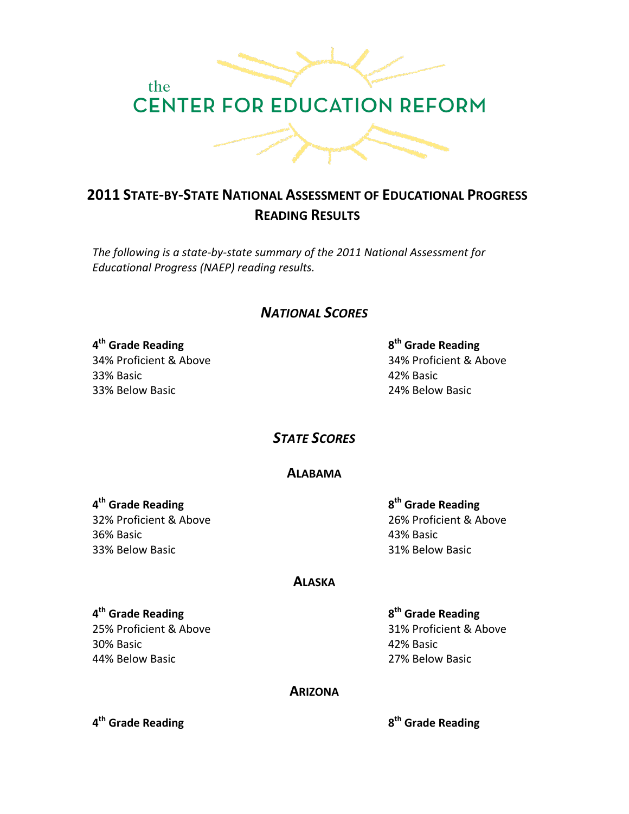

# **2011 STATE-BY-STATE NATIONAL ASSESSMENT OF EDUCATIONAL PROGRESS READING!RESULTS**

The following is a state-by-state summary of the 2011 National Assessment for *Educational Progress (NAEP) reading results.* 

*NATIONAL'SCORES*

**4th!Grade!Reading**!!!!!!! **8th!Grade!Reading** 33%!Basic! 42%!Basic!! 33% Below Basic **1988** Basic 24% Below Basic

34%!Proficient!&!Above!!!!!!!!!!!!!!!!!!!!!!!!!!!!!!!!!!!! 34%!Proficient!&!Above

**STATE SCORES** 

## **ALABAMA**

36%!Basic! 43%!Basic!! 33% Below Basic **Internal Studies and Same Basic** 31% Below Basic

**4th!Grade!Reading!!!!!!!!!!! 8th!Grade!Reading** 32%!Proficient!&!Above!!!!!!!!!!!!!!!!!!!!!!!!!!!!!!!!!!!! 26%!Proficient!&!Above

## **ALASKA**

### **4th!Grade!Reading!!!! 8th!Grade!Reading**

30%!Basic! 42%!Basic!! 44%!Below!Basic!!!!!!!!!!!!!!!!!!!!!!!!!!!!!!!!!!!!!!!!!!!!!!! 27%!Below!Basic

25% Proficient & Above 25% Proficient & Above

# **ARIZONA**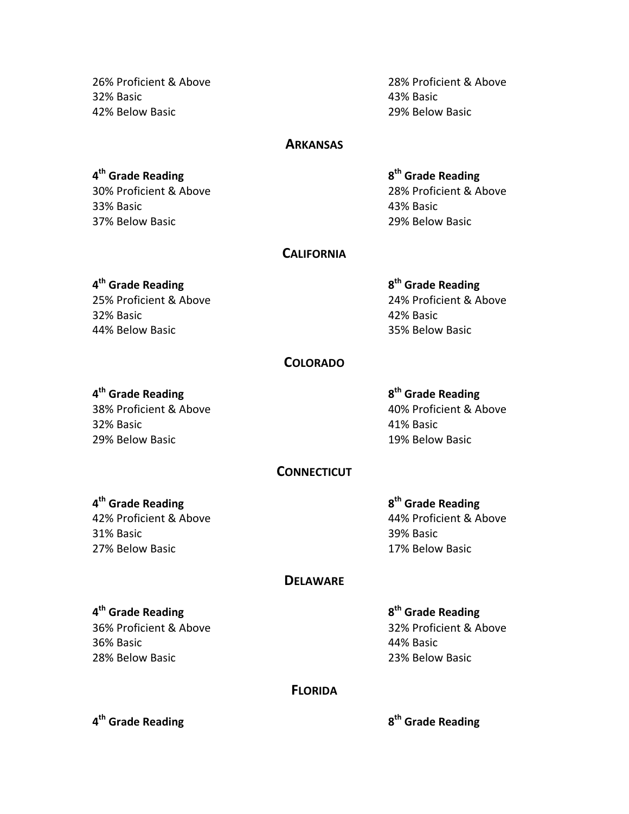26%!Proficient!&!Above!!!!!!!!!!!!!!!!!!!!!!!!!!!!!!!!!!!! 28%!Proficient!&!Above 32%!Basic! 43%!Basic!! 42%!Below!Basic!!!!!!!!!!!!!!!!!!!!!!!!!!!!!!!!!!!!!!!!!!!!!! 29%!Below!Basic

### **ARKANSAS**

**4th!Grade!Reading!!!!!!!!!!! 8th!Grade!Reading** 33%!Basic!!!!!!!!!!!!!!!!!!!!!!!!!!!!!!!!!!!!!!!!!!!!!!!!!!!!!!! 43%!Basic!! 37%!Below!Basic!!!!!!!!!!!!!!!!!!!!!!!!!!!!!!!!!!!!!!!!!!!!!!! 29%!Below!Basic

30%!Proficient!&!Above!!!!!!!!!!!!!!!!!!!!!!!!!!!!!!!!!!!! 28%!Proficient!&!Above

### **CALIFORNIA**

# **4th!Grade!Reading!!!!!!!!!!! 8th!Grade!Reading**

32%!Basic! 42%!Basic!! 44% Below Basic **Participate 120 and 144% Below Basic** 35% Below Basic

25% Proficient & Above 25% Proficient & Above

### **COLORADO**

### **4th!Grade!Reading!!!!!!!!!!! 8th!Grade!Reading**

32% Basic 2012 2020 12:00:00 12:00:00 12:00:00 12:00:00 12:00:00 12:00:00 12:00:00 12:00:00 12:00:00 12:00:00 29%!Below!Basic!!!!!!!!!!!!!!!!!!!!!!!!!!!!!!!!!!!!!!!!!!!!!! 19%!Below!Basic

38%!Proficient!&!Above!!!!!!!!!!!!!!!!!!!!!!!!!!!!!!!!!!!! 40%!Proficient!&!Above

# **CONNECTICUT**

### **4th!Grade!Reading!!!!!!!!!!! 8th!Grade!Reading**

31%!Basic! 39%!Basic!! 27%!Below!Basic!!!!!!!!!!!!!!!!!!!!!!!!!!!!!!!!!!!!!!!!!!!!!! 17%!Below!Basic

42%!Proficient!&!Above!!!!!!!!!!!!!!!!!!!!!!!!!!!!!!!!!!!! 44%!Proficient!&!Above

### **DELAWARE**

### **4th!Grade!Reading! 8th!Grade!Reading**

36%!Basic! 44%!Basic!! 28%!Below!Basic!!!!!!!!!!!!!!!!!!!!!!!!!!!!!!!!!!!!!!!!!!!!!!! 23%!Below!Basic

36% Proficient & Above 32% Proficient & Above

### **FLORIDA**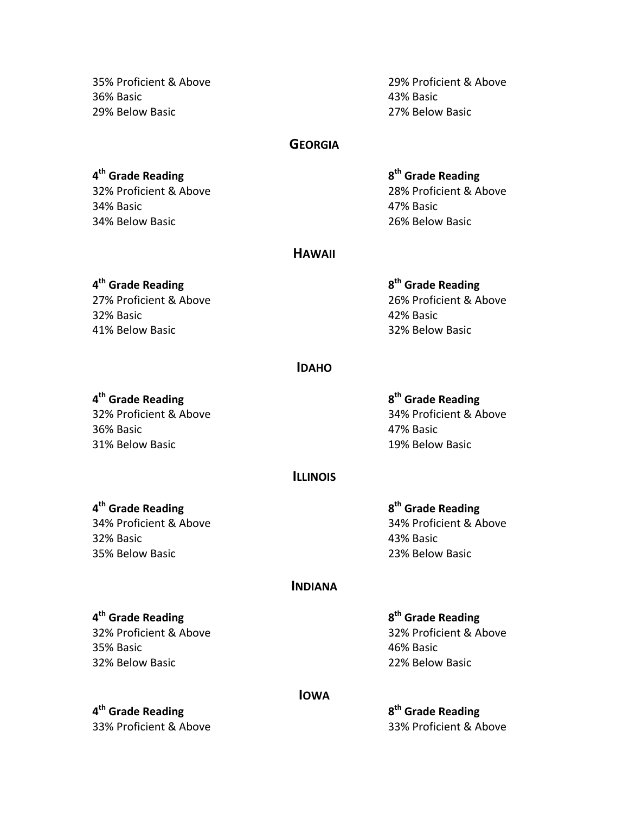35%!Proficient!&!Above!!!!!!!!!!!!!!!!!!!!!!!!!!!!!!!!!!!! 29%!Proficient!&!Above 36%!Basic!!!!!!!!!!!!!!!!!!!!!!!!!!!!!!!!!!!!!!!!!!!!!!!!!!!!!!!!! 43%!Basic!! 29%!Below!Basic 27%!Below!Basic

### **GEORGIA**

**4th!Grade!Reading!!!!!!!!!!! 8th!Grade!Reading** 34%!Basic! 47%!Basic!! 34% Below Basic **Participate 126% Below Basic** 26% Below Basic

32%!Proficient!&!Above!!!!!!!!!!!!!!!!!!!!!!!!!!!!!!!!!!!! 28%!Proficient!&!Above

### **HAWAII**

### **4th!Grade!Reading**!!!!!!!!! **8th!Grade!Reading**

32%!Basic!!!!!!!!!!!!!!!!!!!!!!!!!!!!!!!!!!!!!!!!!!!!!!!!!!!!!!! 42%!Basic!! 41% Below Basic **Participate 124 and 124 and 124 and 124 and 124 and 124 and 124 and 124 and 124 and 124 and 12** 

27% Proficient & Above 27% Proficient & Above

### **IDAHO**

**4th!Grade!Reading**!!!!!!!!!!! **8th!Grade!Reading**

36%!Basic!!!!!!!!!!!!!!!!!!!!!!!!!!!!!!!!!!!!!!!!!!!!!!!!!!!!!!!!! 47%!Basic!! 31%!Below!Basic!!!!!!!!!!!!!!!!!!!!!!!!!!!!!!!!!!!!!!!!!!!!!!! 19%!Below!Basic

32%!Proficient!&!Above!!!!!!!!!!!!!!!!!!!!!!!!!!!!!!!!!!!! 34%!Proficient!&!Above

### **ILLINOIS**

# **4th!Grade!Reading**!!!!!!!!!!! **8th!Grade!Reading**

34%!Proficient!&!Above!!!!!!!!!!!!!!!!!!!!!!!!!!!!!!!!!!! 34%!Proficient!&!Above 32%!Basic!!!!!!!!!!!!!!!!!!!!!!!!!!!!!!!!!!!!!!!!!!!!!!!!!!!!!!!! 43%!Basic!! 35%!Below!Basic!!!!!!!!!!!!!!!!!!!!!!!!!!!!!!!!!!!!!!!!!!!!!! 23%!Below!Basic

### **INDIANA**

### **4th!Grade!Reading!!!!!!!!!!! 8th!Grade!Reading**

35%!Basic! 46%!Basic!! 32%!Below!Basic!!!!!!!!!!!!!!!!!!!!!!!!!!!!!!!!!!!!!!!!!!!!!!! 22%!Below!Basic

**4th!Grade!Reading!!!!!!!!!!! 8th!Grade!Reading**

32%!Proficient!&!Above!!!!!!!!!!!!!!!!!!!!!!!!!!!!!!!!!!!! 32%!Proficient!&!Above

**IOWA**

33%!Proficient!&!Above!!!!!!!!!!!!!!!!!!!!!!!!!!!!!!!!!!!! 33%!Proficient!&!Above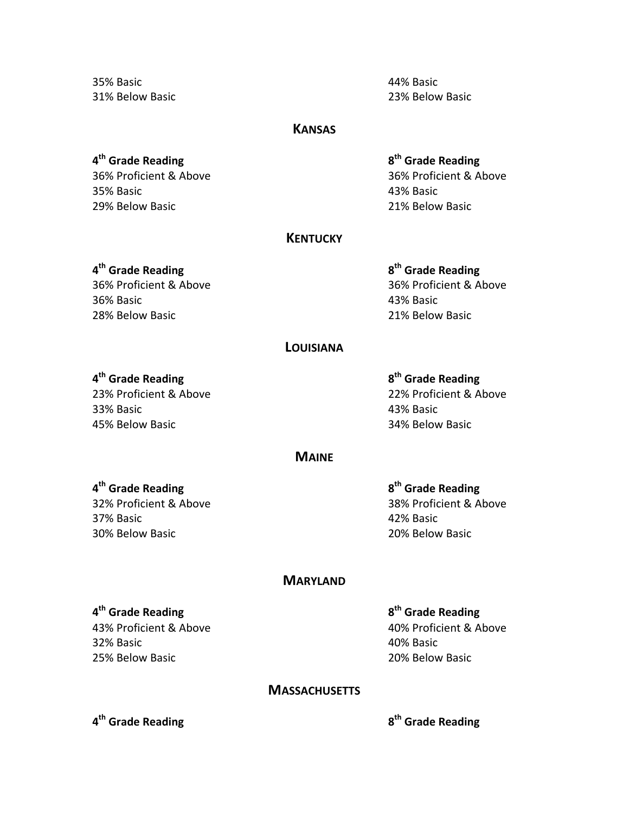35%!Basic!!!!!!!!!!!!!!!!!!!!!!!!!!!!!!!!!!!!!!!!!!!!!!!!!!!!!!!!! 44%!Basic!!

31% Below Basic **Participate 123% Below Basic** Participate 123% Below Basic

### **KANSAS**

# **4th!Grade!Reading!!!!!!!!!!! 8th!Grade!Reading**

35%!Basic! 43%!Basic!! 29%!Below!Basic!!!!!!!!!!!!!!!!!!!!!!!!!!!!!!!!!!!!!!!!!!!!!! 21%!Below!Basic

# 36% Proficient & Above 2008 120 2009 12:00 36% Proficient & Above

### **KENTUCKY**

36% Proficient & Above 26% Proficient & Above 36%!Basic!!!!!!!!!!!!!!!!!!!!!!!!!!!!!!!!!!!!!!!!!!!!!!!!!!!!!!!! 43%!Basic!! 28%!Below!Basic!!!!!!!!!!!!!!!!!!!!!!!!!!!!!!!!!!!!!!!!!!!!!!! 21%!Below!Basic

# **4th!Grade!Reading**!!!!!!!!!!! **8th!Grade!Reading**

### **LOUISIANA**

### **4th!Grade!Reading!!!!!!!!!!! 8th!Grade!Reading**

33%!Basic! 43%!Basic!! 45% Below Basic **Participate 124% Below Basic** 34% Below Basic

23%!Proficient!&!Above!!!!!!!!!!!!!!!!!!!!!!!!!!!!!!!!!!!! 22%!Proficient!&!Above

### **MAINE**

37% Basic 2012 2013 2020 12:00:00 2020 2031 2042 42% Basic 30%!Below!Basic!!!!!!!!!!!!!!!!!!!!!!!!!!!!!!!!!!!!!!!!!!!!!!! 20%!Below!Basic

**4th!Grade!Reading!!!!!!!!!!! 8th!Grade!Reading** 32% Proficient & Above 38% Proficient & Above

### **MARYLAND**

### **4th!Grade!Reading!!!!!!!!!!! 8th!Grade!Reading**

32%!Basic! 40%!Basic!! 25%!Below!Basic!!!!!!!!!!!!!!!!!!!!!!!!!!!!!!!!!!!!!!!!!!!!!!! 20%!Below!Basic

43% Proficient & Above 2008 Proficient & Above

### **MASSACHUSETTS**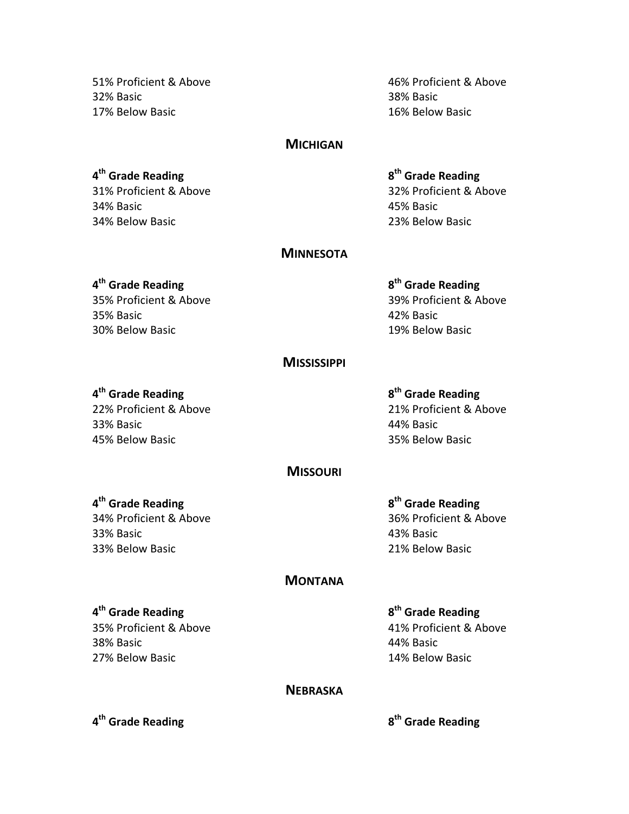51%!Proficient!&!Above!!!!!!!!!!!!!!!!!!!!!!!!!!!!!!!!!!!! 46%!Proficient!&!Above 32%!Basic!!!!!!!!!!!!!!!!!!!!!!!!!!!!!!!!!!!!!!!!!!!!!!!!!!!!!!!!! 38%!Basic!! 17%!Below!Basic!!!!!!!!!!!!!!!!!!!!!!!!!!!!!!!!!!!!!!!!!!!!!! 16%!Below!Basic

### **MICHIGAN**

**4th!Grade!Reading!!!!!!!!!!! 8th!Grade!Reading** 34%!Basic! !!!!!!!!! 45%!Basic!! 34% Below Basic **Participate 123% Below Basic** 134% Below Basic

31% Proficient & Above 2014 12:32% Proficient & Above

### **MINNESOTA**

### **4th!Grade!Reading!!!!!!!!!!! 8th!Grade!Reading**

35%!Basic! 42%!Basic!! 30% Below Basic **Internal Solution** Basic **19% Below Basic** 

35% Proficient & Above 25% Proficient & Above

### **MISSISSIPPI**

### **4th!Grade!Reading**!!!!!!!!!! **8th!Grade!Reading**

33% Basic **Advisors** 23% Basic **44% Basic** 45%!Below!Basic!!!!!!!!!!!!!!!!!!!!!!!!!!!!!!!!!!!!!!!!!!!!!!! 35%!Below!Basic

22% Proficient & Above 21% Proficient & Above

### **MISSOURI**

### **4th!Grade!Reading**!!!!!!! !!!!!!!!! **8th!Grade!Reading**

33%!Basic!!!!!!!!!!!!!!!!!!!!!!!!!!!!!!!!!!!!!!!!!!!!!!!!!!!!!!!! 43%!Basic!! 33%!Below!Basic!!!!!!!!!!!!!!!!!!!!!!!!!!!!!!!!!!!!!!!!!!!!!!! 21%!Below!Basic

34%!Proficient!&!Above!!!!!!!!!!!!!!!!!!!!!!!!!!!!!!!!!!!! 36%!Proficient!&!Above

### **MONTANA**

### **4th!Grade!Reading**!!!!!!!!!!! **8th!Grade!Reading**

38%!Basic!!!!!!!!!!!!!!!!!!!!!!!!!!!!!!!!!!!!!!!!!!!!!!!!!!!!!!!!! 44%!Basic!! 27%!Below!Basic!!!!!!!!!!!!!!!!!!!!!!!!!!!!!!!!!!!!!!!!!!!!!!! 14%!Below!Basic

35% Proficient & Above 25% Proficient & Above

### **NEBRASKA**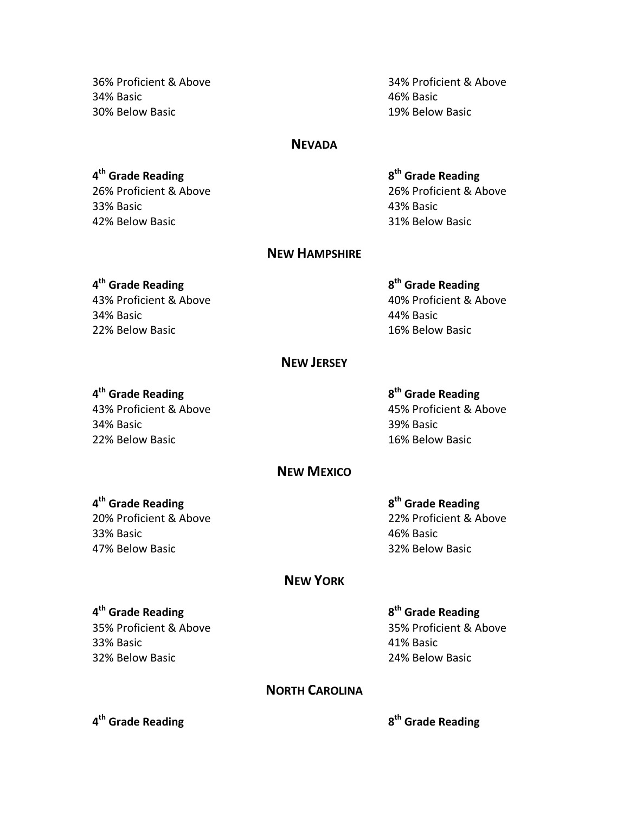34% Basic 2012 2013 2020 2021 2021 2022 2030 2046 2050 2051 2052 2053 2054 2055 2056 2057 2058 2059 2059 2051 2052 2053 2054 2055 2056 2057 2058 2059 2059 2059 2051 2052 2053 2059 2051 2052 2053 2058 2059 2059 2059 2051 20 30%!Below!Basic!!!!!!!!!!!!!!!!!!!!!!!!!!!!!!!!!!!!!!!!!!!!!!!! 19%!Below!Basic

36%!Proficient!&!Above!!!!!!!!!!!!!!!!!!!!!!!!!!!!!!!!!!!! 34%!Proficient!&!Above

### **NEVADA**

**4th!Grade!Reading!!!!!!!!!!! 8th!Grade!Reading** 33%!Basic!!!!!!!!!!!!!!!!!!!!!!!!!!!!!!!!!!!!!!!!!!!!!!!!!!!!!!!! 43%!Basic!! 42% Below Basic **Participate 128 and 12% Below Basic** 31% Below Basic

26%!Proficient!&!Above!!!!!!!!!!!!!!!!!!!!!!!!!!!!!!!!!!!! 26%!Proficient!&!Above

### **NEW!HAMPSHIRE**

### **4<sup>th</sup> Grade Reading**

43% Proficient & Above 2004 10% Proficient & Above 34%!Basic! 44%!Basic!! 22% Below Basic **Participate 16% Below Basic** in the 16% Below Basic

# 8<sup>th</sup> Grade Reading

### **NEW!JERSEY**

### **4th!Grade!Reading**!!!!!!!!!!! **8th!Grade!Reading**

34%!Basic! 39%!Basic!! 22%!Below!Basic!!!!!!!!!!!!!!!!!!!!!!!!!!!!!!!!!!!!!!!!!!!!!!! 16%!Below!Basic

43%!Proficient!&!Above!!!!!!!!!!!!!!!!!!!!!!!!!!!!!!!!!!!! 45%!Proficient!&!Above

# **NEW!MEXICO**

### **4th!Grade!Reading**!!!!!!!! **8th!Grade!Reading**

33% Basic 2008 and 2009 and 2009 and 2009 and 2009 and 2009 and 2009 and 2009 and 2009 and 2009 and 2009 and 20 47%!Below!Basic!!!!!!!!!!!!!!!!!!!!!!!!!!!!!!!!!!!!!!!!!!!!!! 32%!Below!Basic

# 20%!Proficient!&!Above!!!!!!!!!!!!!!!!!!!!!!!!!!!!!!!!!!!! 22%!Proficient!&!Above

### **NEW!YORK**

### **4<sup>th</sup> Grade Reading**

33% Basic **All Accords** 23% Basic **41% Basic** 32%!Below!Basic!!!!!!!!!!!!!!!!!!!!!!!!!!!!!!!!!!!!!!!!!!!!!!! 24%!Below!Basic

**8<sup>th</sup> Grade Reading** 35% Proficient & Above 35% Proficient & Above

## **NORTH CAROLINA**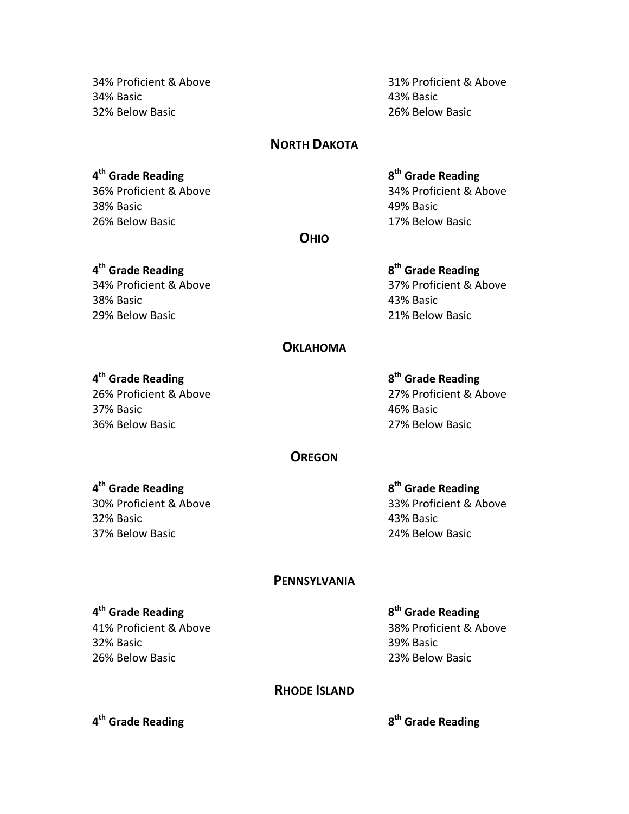34%!Proficient!&!Above!!!!!!!!!!!!!!!!!!!!!!!!!!!!!!!!!!!! 31%!Proficient!&!Above 34% Basic **43% Basic** 32%!Below!Basic!!!!!!!!!!!!!!!!!!!!!!!!!!!!!!!!!!!!!!!!!!!!!!! 26%!Below!Basic

### **NORTH DAKOTA**

### **4th!Grade!Reading**!!!!!!!!!!! **8th!Grade!Reading**

38%!Basic! 49%!Basic!! 26% Below Basic **26% Below Basic** 26% Below Basic

# 36%!Proficient!&!Above!!!!!!!!!!!!!!!!!!!!!!!!!!!!!!!!!!!! 34%!Proficient!&!Above

**OHIO**

34%!Proficient!&!Above!!!!!!!!!!!!!!!!!!!!!!!!!!!!!!!!!!!! 37%!Proficient!&!Above 38% Basic **43% Basic** 29%!Below!Basic!!!!!!!!!!!!!!!!!!!!!!!!!!!!!!!!!!!!!!!!!!!!!!! 21%!Below!Basic

# **4th!Grade!Reading!!!!!!!!!! 8th!Grade!Reading**

### **OKLAHOMA**

### **4th!Grade!Reading**!!!!!!!!!!! **8th!Grade!Reading**

37%!Basic! 46%!Basic!! 36%!Below!Basic!!!!!!!!!!!!!!!!!!!!!!!!!!!!!!!!!!!!!!!!!!!!!!! 27%!Below!Basic

26%!Proficient!&!Above!!!!!!!!!!!!!!!!!!!!!!!!!!!!!!!!!!!! 27%!Proficient!&!Above

### **OREGON**

32%!Basic!!!!!!!!!!!!!!!!!!!!!!!!!!!!!!!!!!!!!!!!!!!!!!!!!!!!!!!! 43%!Basic!! 37%!Below!Basic!!!!!!!!!!!!!!!!!!!!!!!!!!!!!!!!!!!!!!!!!!!!!!! 24%!Below!Basic

**4th!Grade!Reading!!!!!!!!!! 8th!Grade!Reading** 30% Proficient & Above 33% Proficient & Above

### **PENNSYLVANIA**

### **4th!Grade!Reading!!!!!!!!!!! 8th!Grade!Reading**

32%!Basic!!!!!!!!!!!!!!!!!!!!!!!!!!!!!!!!!!!!!!!!!!!!!!!!!!!!!!!!! 39%!Basic!! 26%!Below!Basic!!!!!!!!!!!!!!!!!!!!!!!!!!!!!!!!!!!!!!!!!!!!!!! 23%!Below!Basic

41% Proficient & Above 38% Proficient & Above

### **RHODE ISLAND**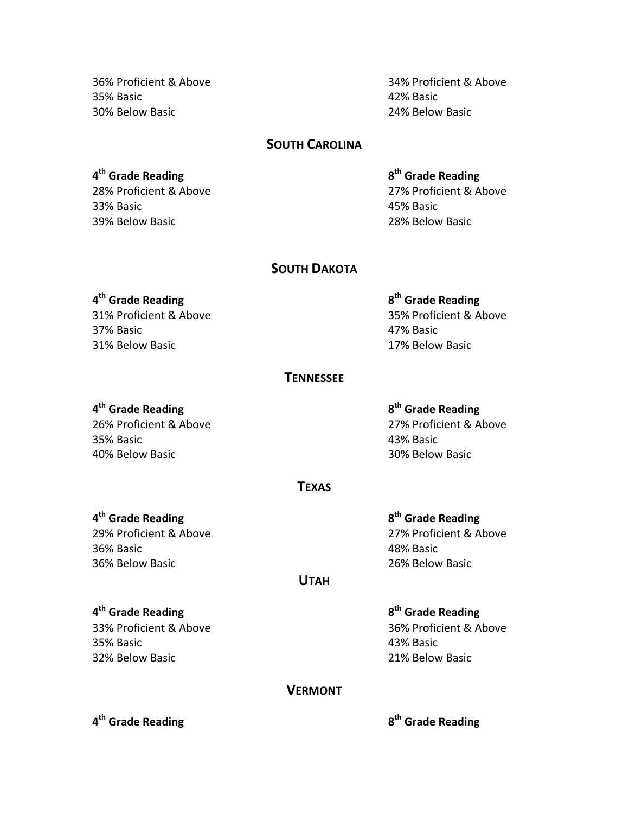35% Basic **Participate 128 and 22% Basic** 129% Basic 30%!Below!Basic!!!!!!!!!!!!!!!!!!!!!!!!!!!!!!!!!!!!!!!!!!!!!!! 24%!Below!Basic

36%!Proficient!&!Above!!!!!!!!!!!!!!!!!!!!!!!!!!!!!!!!!!!! 34%!Proficient!&!Above

### **SOUTH CAROLINA**

**4th!Grade!Reading**!!!!!!!!!!! !!!!!!!!! **8th!Grade!Reading** 33%!Basic!!!!!!!!!!!!!!!!!!!!!!!!!!!!!!!!!!!!!!!!!!!!!!!!!!!!!!!!! 45%!Basic!! 39%!Below!Basic!!!!!!!!!!!!!!!!!!!!!!!!!!!!!!!!!!!!!!!!!!!!!!! 28%!Below!Basic

28% Proficient & Above 27% Proficient & Above

### **SOUTH DAKOTA**

37%!Basic!!!!!!!!!!!!!!!!!!!!!!!!!!!!!!!!!!!!!!!!!!!!!!!!!!!!!!! 47%!Basic!! 31% Below Basic **Internal Property** Enterprise in the 17% Below Basic

**4th!Grade!Reading**!!!!!!!!!!! **8th!Grade!Reading** 31%!Proficient!&!Above!!!!!!!!!!!!!!!!!!!!!!!!!!!!!!!!!!!! 35%!Proficient!&!Above

### **TENNESSEE**

### **4th!Grade!Reading**!!!!!!!!!!! **8th!Grade!Reading**

35%!Basic!!!!!!!!!!!!!!!!!!!!!!!!!!!!!!!!!!!!!!!!!!!!!!!!!!!!!!!! 43%!Basic!! 40% Below Basic **Property** 20% Below Basic

26% Proficient & Above 27% Proficient & Above

### **TEXAS**

### **4th!Grade!Reading**!!!!!!!!!!! **8th!Grade!Reading**

29%!Proficient!&!Above!!!!!!!!!!!!!!!!!!!!!!!!!!!!!!!!!!!! 27%!Proficient!&!Above 36%!Basic!!!!!!!!!!!!!!!!!!!!!!!!!!!!!!!!!!!!!!!!!!!!!!!!!!!!!!!! 48%!Basic!! 36% Below Basic **Participate 126% Below Basic** 26% Below Basic

### **UTAH**

35%!Basic!!!!!!!!!!!!!!!!!!!!!!!!!!!!!!!!!!!!!!!!!!!!!!!!!!!!!!!!! 43%!Basic!! 32%!Below!Basic!!!!!!!!!!!!!!!!!!!!!!!!!!!!!!!!!!!!!!!!!!!!!!! 21%!Below!Basic

**4th!Grade!Reading**!!!!!!!!!!! **8th!Grade!Reading** 33% Proficient & Above 23% Proficient & Above

### **VERMONT**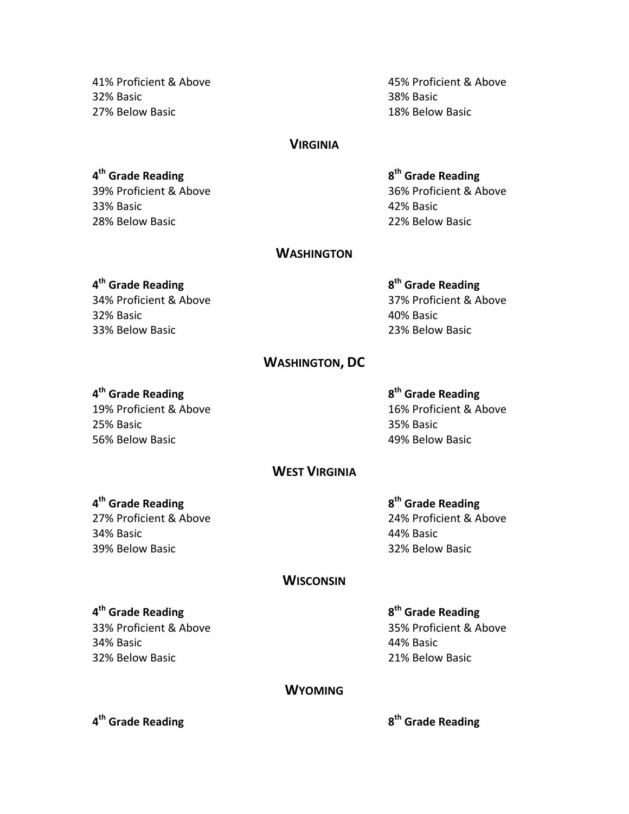41%!Proficient!&!Above!!!!!!!!!!!!!!!!!!!!!!!!!!!!!!!!!!!! 45%!Proficient!&!Above 32%!Basic!!!!!!!!!!!!!!!!!!!!!!!!!!!!!!!!!!!!!!!!!!!!!!!!!!!!!!!! 38%!Basic!! 27%!Below!Basic!!!!!!!!!!!!!!!!!!!!!!!!!!!!!!!!!!!!!!!!!!!!!!! 18%!Below!Basic

### **VIRGINIA**

**4th!Grade!Reading**!!!!!!!!!!! **8th Grade!Reading** 33%!Basic!!!!!!!!!!!!!!!!!!!!!!!!!!!!!!!!!!!!!!!!!!!!!!!!!!!!!!!!! 42%!Basic!! 28% Below Basic **28% Below Basic** 22% Below Basic

39%!Proficient!&!Above!!!!!!!!!!!!!!!!!!!!!!!!!!!!!!!!!!!! 36%!Proficient!&!Above

### **WASHINGTON**

### **4th!Grade!Reading!!!!!!!!!!! 8th!Grade!Reading**

32%!Basic!!!!!!!!!!!!!!!!!!!!!!!!!!!!!!!!!!!!!!!!!!!!!!!!!!!!!!!!! 40%!Basic!! 33%!Below!Basic!!!!!!!!!!!!!!!!!!!!!!!!!!!!!!!!!!!!!!!!!!!!!! 23%!Below!Basic

34% Proficient & Above 37% Proficient & Above

### **WASHINGTON, DC**

25% Basic 25% Basic 25% Basic 56%!Below!Basic!!!!!!!!!!!!!!!!!!!!!!!!!!!!!!!!!!!!!!!!!!!!!!! 49%!Below!Basic

### **4th!Grade!Reading!!!!!!!!!!! 8th!Grade!Reading**

19%!Proficient!&!Above!!!!!!!!!!!!!!!!!!!!!!!!!!!!!!!!!!!! 16%!Proficient!&!Above

### **WEST VIRGINIA**

### **4th!Grade!Reading**!!!!!!!!!!! **8th!Grade!Reading**

34%!Basic! 44%!Basic!! 39%!Below!Basic!!!!!!!!!!!!!!!!!!!!!!!!!!!!!!!!!!!!!!!!!!!!!!! 32%!Below!Basic

27%!Proficient!&!Above!!!!!!!!!!!!!!!!!!!!!!!!!!!!!!!!!!!! 24%!Proficient!&!Above

### **WISCONSIN**

### **4th!Grade!Reading**!!!!!!!!!!! **8th!Grade!Reading**

34%!Basic! 44%!Basic!! 32%!Below!Basic!!!!!!!!!!!!!!!!!!!!!!!!!!!!!!!!!!!!!!!!!!!!!!! 21%!Below!Basic

33% Proficient & Above 35% Proficient & Above

### **WYOMING**